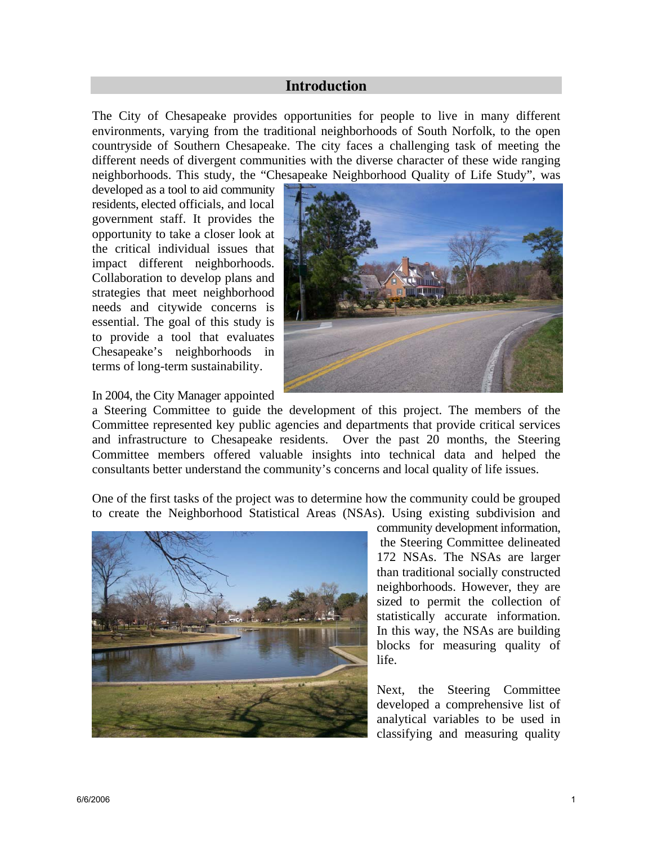## **Introduction**

The City of Chesapeake provides opportunities for people to live in many different environments, varying from the traditional neighborhoods of South Norfolk, to the open countryside of Southern Chesapeake. The city faces a challenging task of meeting the different needs of divergent communities with the diverse character of these wide ranging neighborhoods. This study, the "Chesapeake Neighborhood Quality of Life Study", was

developed as a tool to aid community residents, elected officials, and local government staff. It provides the opportunity to take a closer look at the critical individual issues that impact different neighborhoods. Collaboration to develop plans and strategies that meet neighborhood needs and citywide concerns is essential. The goal of this study is to provide a tool that evaluates Chesapeake's neighborhoods in terms of long-term sustainability.



In 2004, the City Manager appointed

a Steering Committee to guide the development of this project. The members of the Committee represented key public agencies and departments that provide critical services and infrastructure to Chesapeake residents. Over the past 20 months, the Steering Committee members offered valuable insights into technical data and helped the consultants better understand the community's concerns and local quality of life issues.

One of the first tasks of the project was to determine how the community could be grouped to create the Neighborhood Statistical Areas (NSAs). Using existing subdivision and



community development information, the Steering Committee delineated 172 NSAs. The NSAs are larger than traditional socially constructed neighborhoods. However, they are sized to permit the collection of statistically accurate information. In this way, the NSAs are building blocks for measuring quality of life.

Next, the Steering Committee developed a comprehensive list of analytical variables to be used in classifying and measuring quality